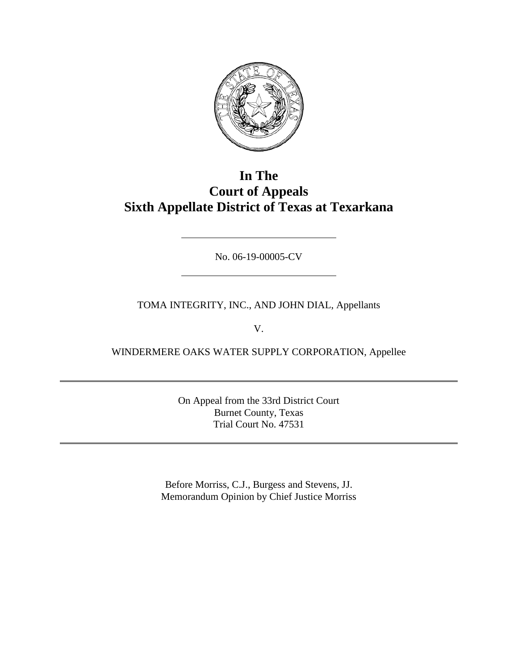

## **In The Court of Appeals Sixth Appellate District of Texas at Texarkana**

No. 06-19-00005-CV

TOMA INTEGRITY, INC., AND JOHN DIAL, Appellants

V.

WINDERMERE OAKS WATER SUPPLY CORPORATION, Appellee

On Appeal from the 33rd District Court Burnet County, Texas Trial Court No. 47531

Before Morriss, C.J., Burgess and Stevens, JJ. Memorandum Opinion by Chief Justice Morriss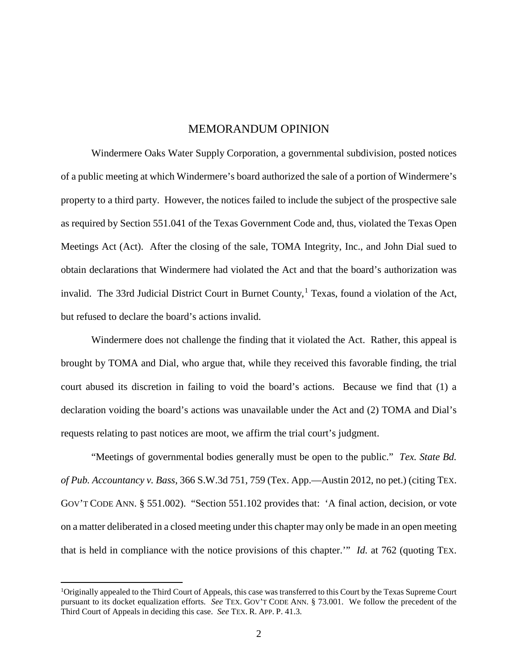## MEMORANDUM OPINION

Windermere Oaks Water Supply Corporation, a governmental subdivision, posted notices of a public meeting at which Windermere's board authorized the sale of a portion of Windermere's property to a third party. However, the notices failed to include the subject of the prospective sale as required by Section 551.041 of the Texas Government Code and, thus, violated the Texas Open Meetings Act (Act). After the closing of the sale, TOMA Integrity, Inc., and John Dial sued to obtain declarations that Windermere had violated the Act and that the board's authorization was invalid. The 33rd Judicial District Court in Burnet County,<sup>1</sup> Texas, found a violation of the Act, but refused to declare the board's actions invalid.

Windermere does not challenge the finding that it violated the Act. Rather, this appeal is brought by TOMA and Dial, who argue that, while they received this favorable finding, the trial court abused its discretion in failing to void the board's actions. Because we find that (1) a declaration voiding the board's actions was unavailable under the Act and (2) TOMA and Dial's requests relating to past notices are moot, we affirm the trial court's judgment.

"Meetings of governmental bodies generally must be open to the public." *Tex. State Bd. of Pub. Accountancy v. Bass*, 366 S.W.3d 751, 759 (Tex. App.—Austin 2012, no pet.) (citing TEX. GOV'T CODE ANN. § 551.002). "Section 551.102 provides that: 'A final action, decision, or vote on a matter deliberated in a closed meeting under this chapter may only be made in an open meeting that is held in compliance with the notice provisions of this chapter.'" *Id.* at 762 (quoting TEX.

 $\frac{1}{1}$ Originally appealed to the Third Court of Appeals, this case was transferred to this Court by the Texas Supreme Court pursuant to its docket equalization efforts. *See* TEX. GOV'T CODE ANN. § 73.001. We follow the precedent of the Third Court of Appeals in deciding this case. *See* TEX. R. APP. P. 41.3.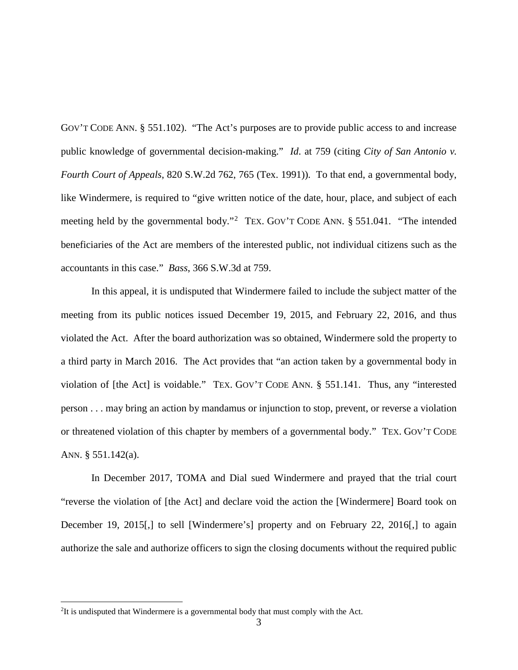GOV'T CODE ANN. § 551.102). "The Act's purposes are to provide public access to and increase public knowledge of governmental decision-making." *Id*. at 759 (citing *City of San Antonio v. Fourth Court of Appeals*, 820 S.W.2d 762, 765 (Tex. 1991)). To that end, a governmental body, like Windermere, is required to "give written notice of the date, hour, place, and subject of each meeting held by the governmental body."<sup>2</sup> TEX. GOV'T CODE ANN. § 551.041. "The intended beneficiaries of the Act are members of the interested public, not individual citizens such as the accountants in this case." *Bass*, 366 S.W.3d at 759.

In this appeal, it is undisputed that Windermere failed to include the subject matter of the meeting from its public notices issued December 19, 2015, and February 22, 2016, and thus violated the Act. After the board authorization was so obtained, Windermere sold the property to a third party in March 2016. The Act provides that "an action taken by a governmental body in violation of [the Act] is voidable." TEX. GOV'T CODE ANN. § 551.141. Thus, any "interested person . . . may bring an action by mandamus or injunction to stop, prevent, or reverse a violation or threatened violation of this chapter by members of a governmental body." TEX. GOV'T CODE ANN. § 551.142(a).

In December 2017, TOMA and Dial sued Windermere and prayed that the trial court "reverse the violation of [the Act] and declare void the action the [Windermere] Board took on December 19, 2015. [1] to sell [Windermere's] property and on February 22, 2016.] to again authorize the sale and authorize officers to sign the closing documents without the required public

 $\frac{1}{2}$  ${}^{2}$ It is undisputed that Windermere is a governmental body that must comply with the Act.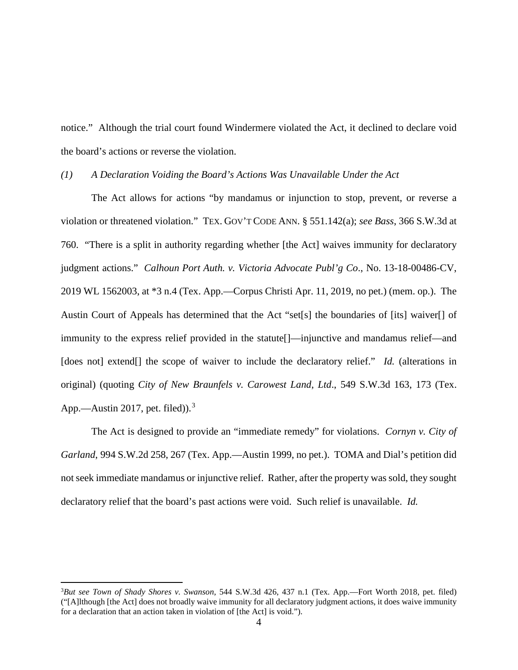notice." Although the trial court found Windermere violated the Act, it declined to declare void the board's actions or reverse the violation.

## *(1) A Declaration Voiding the Board's Actions Was Unavailable Under the Act*

The Act allows for actions "by mandamus or injunction to stop, prevent, or reverse a violation or threatened violation." TEX. GOV'T CODE ANN. § 551.142(a); *see Bass*, 366 S.W.3d at 760. "There is a split in authority regarding whether [the Act] waives immunity for declaratory judgment actions." *Calhoun Port Auth. v. Victoria Advocate Publ'g Co*., No. 13-18-00486-CV, 2019 WL 1562003, at \*3 n.4 (Tex. App.—Corpus Christi Apr. 11, 2019, no pet.) (mem. op.). The Austin Court of Appeals has determined that the Act "set[s] the boundaries of [its] waiver[] of immunity to the express relief provided in the statute[]—injunctive and mandamus relief—and [does not] extend] the scope of waiver to include the declaratory relief." *Id.* (alterations in original) (quoting *City of New Braunfels v. Carowest Land*, *Ltd*., 549 S.W.3d 163, 173 (Tex. App.—Austin 2017, pet. filed) $\lambda$ <sup>3</sup>

The Act is designed to provide an "immediate remedy" for violations. *Cornyn v. City of Garland*, 994 S.W.2d 258, 267 (Tex. App.—Austin 1999, no pet.). TOMA and Dial's petition did not seek immediate mandamus or injunctive relief. Rather, after the property was sold, they sought declaratory relief that the board's past actions were void. Such relief is unavailable. *Id.*

 $\frac{1}{3}$ *But see Town of Shady Shores v. Swanson*, 544 S.W.3d 426, 437 n.1 (Tex. App.—Fort Worth 2018, pet. filed) ("[A]lthough [the Act] does not broadly waive immunity for all declaratory judgment actions, it does waive immunity for a declaration that an action taken in violation of [the Act] is void.").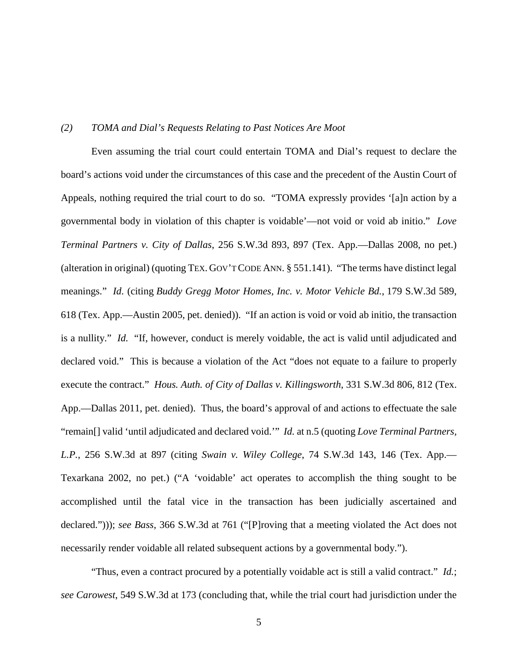## *(2) TOMA and Dial's Requests Relating to Past Notices Are Moot*

Even assuming the trial court could entertain TOMA and Dial's request to declare the board's actions void under the circumstances of this case and the precedent of the Austin Court of Appeals, nothing required the trial court to do so. "TOMA expressly provides '[a]n action by a governmental body in violation of this chapter is voidable'—not void or void ab initio." *Love Terminal Partners v. City of Dallas*, 256 S.W.3d 893, 897 (Tex. App.—Dallas 2008, no pet.) (alteration in original) (quoting TEX. GOV'T CODE ANN. § 551.141). "The terms have distinct legal meanings." *Id.* (citing *Buddy Gregg Motor Homes, Inc. v. Motor Vehicle Bd.*, 179 S.W.3d 589, 618 (Tex. App.—Austin 2005, pet. denied)). "If an action is void or void ab initio, the transaction is a nullity." *Id.* "If, however, conduct is merely voidable, the act is valid until adjudicated and declared void." This is because a violation of the Act "does not equate to a failure to properly execute the contract." *Hous. Auth. of City of Dallas v. Killingsworth*, 331 S.W.3d 806, 812 (Tex. App.—Dallas 2011, pet. denied). Thus, the board's approval of and actions to effectuate the sale "remain[] valid 'until adjudicated and declared void.'" *Id.* at n.5 (quoting *Love Terminal Partners, L.P.*, 256 S.W.3d at 897 (citing *Swain v. Wiley College*, 74 S.W.3d 143, 146 (Tex. App.— Texarkana 2002, no pet.) ("A 'voidable' act operates to accomplish the thing sought to be accomplished until the fatal vice in the transaction has been judicially ascertained and declared."))); *see Bass*, 366 S.W.3d at 761 ("[P]roving that a meeting violated the Act does not necessarily render voidable all related subsequent actions by a governmental body.").

"Thus, even a contract procured by a potentially voidable act is still a valid contract." *Id.*; *see Carowest*, 549 S.W.3d at 173 (concluding that, while the trial court had jurisdiction under the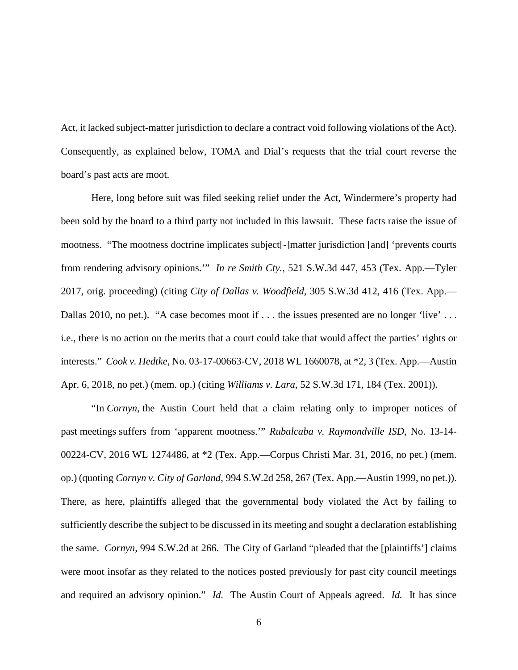Act, it lacked subject-matter jurisdiction to declare a contract void following violations of the Act). Consequently, as explained below, TOMA and Dial's requests that the trial court reverse the board's past acts are moot.

Here, long before suit was filed seeking relief under the Act, Windermere's property had been sold by the board to a third party not included in this lawsuit. These facts raise the issue of mootness. "The mootness doctrine implicates subject[-]matter jurisdiction [and] 'prevents courts from rendering advisory opinions.'" *In re Smith Cty.*, 521 S.W.3d 447, 453 (Tex. App.—Tyler 2017, orig. proceeding) (citing *City of Dallas v. Woodfield*, 305 S.W.3d 412, 416 (Tex. App.— Dallas 2010, no pet.). "A case becomes moot if . . . the issues presented are no longer 'live' . . . i.e., there is no action on the merits that a court could take that would affect the parties' rights or interests." *Cook v. Hedtke*, No. 03-17-00663-CV, 2018 WL 1660078, at \*2, 3 (Tex. App.—Austin Apr. 6, 2018, no pet.) (mem. op.) (citing *Williams v. Lara*, 52 S.W.3d 171, 184 (Tex. 2001)).

"In *Cornyn*, the Austin Court held that a claim relating only to improper notices of past meetings suffers from 'apparent mootness.'" *Rubalcaba v. Raymondville ISD*, No. 13-14- 00224-CV, 2016 WL 1274486, at \*2 (Tex. App.—Corpus Christi Mar. 31, 2016, no pet.) (mem. op.) (quoting *Cornyn v. City of Garland*, 994 S.W.2d 258, 267 (Tex. App.—Austin 1999, no pet.)). There, as here, plaintiffs alleged that the governmental body violated the Act by failing to sufficiently describe the subject to be discussed in its meeting and sought a declaration establishing the same. *Cornyn*, 994 S.W.2d at 266. The City of Garland "pleaded that the [plaintiffs'] claims were moot insofar as they related to the notices posted previously for past city council meetings and required an advisory opinion." *Id.* The Austin Court of Appeals agreed. *Id.* It has since